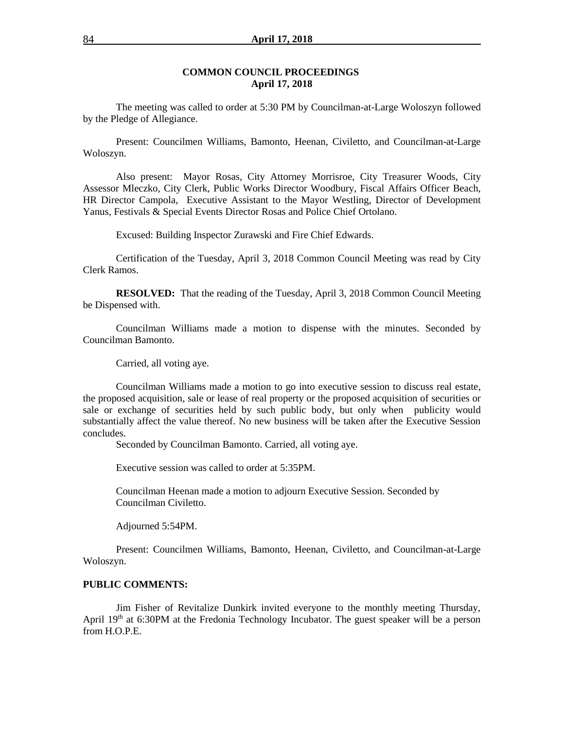### **COMMON COUNCIL PROCEEDINGS April 17, 2018**

The meeting was called to order at 5:30 PM by Councilman-at-Large Woloszyn followed by the Pledge of Allegiance.

Present: Councilmen Williams, Bamonto, Heenan, Civiletto, and Councilman-at-Large Woloszyn.

Also present: Mayor Rosas, City Attorney Morrisroe, City Treasurer Woods, City Assessor Mleczko, City Clerk, Public Works Director Woodbury, Fiscal Affairs Officer Beach, HR Director Campola, Executive Assistant to the Mayor Westling, Director of Development Yanus, Festivals & Special Events Director Rosas and Police Chief Ortolano.

Excused: Building Inspector Zurawski and Fire Chief Edwards.

Certification of the Tuesday, April 3, 2018 Common Council Meeting was read by City Clerk Ramos.

**RESOLVED:** That the reading of the Tuesday, April 3, 2018 Common Council Meeting be Dispensed with.

Councilman Williams made a motion to dispense with the minutes. Seconded by Councilman Bamonto.

Carried, all voting aye.

Councilman Williams made a motion to go into executive session to discuss real estate, the proposed acquisition, sale or lease of real property or the proposed acquisition of securities or sale or exchange of securities held by such public body, but only when publicity would substantially affect the value thereof. No new business will be taken after the Executive Session concludes.

Seconded by Councilman Bamonto. Carried, all voting aye.

Executive session was called to order at 5:35PM.

Councilman Heenan made a motion to adjourn Executive Session. Seconded by Councilman Civiletto.

Adjourned 5:54PM.

Present: Councilmen Williams, Bamonto, Heenan, Civiletto, and Councilman-at-Large Woloszyn.

## **PUBLIC COMMENTS:**

Jim Fisher of Revitalize Dunkirk invited everyone to the monthly meeting Thursday, April  $19<sup>th</sup>$  at 6:30PM at the Fredonia Technology Incubator. The guest speaker will be a person from H.O.P.E.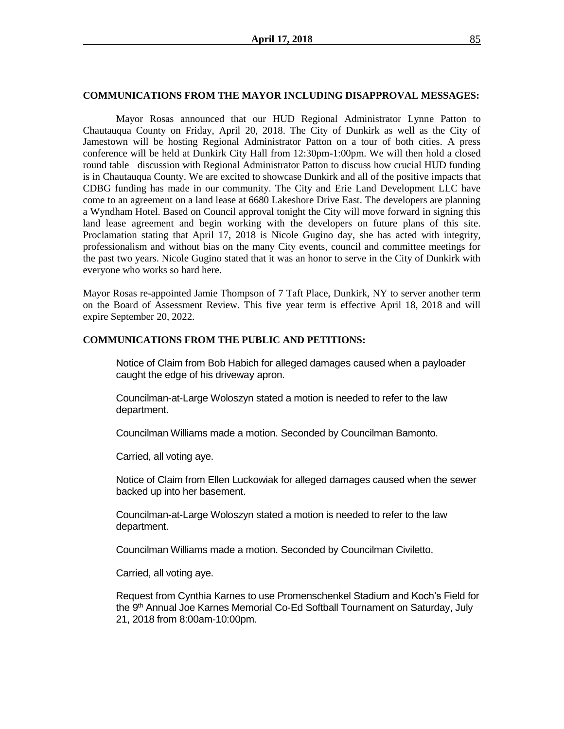#### **COMMUNICATIONS FROM THE MAYOR INCLUDING DISAPPROVAL MESSAGES:**

Mayor Rosas announced that our HUD Regional Administrator Lynne Patton to Chautauqua County on Friday, April 20, 2018. The City of Dunkirk as well as the City of Jamestown will be hosting Regional Administrator Patton on a tour of both cities. A press conference will be held at Dunkirk City Hall from 12:30pm-1:00pm. We will then hold a closed round table discussion with Regional Administrator Patton to discuss how crucial HUD funding is in Chautauqua County. We are excited to showcase Dunkirk and all of the positive impacts that CDBG funding has made in our community. The City and Erie Land Development LLC have come to an agreement on a land lease at 6680 Lakeshore Drive East. The developers are planning a Wyndham Hotel. Based on Council approval tonight the City will move forward in signing this land lease agreement and begin working with the developers on future plans of this site. Proclamation stating that April 17, 2018 is Nicole Gugino day, she has acted with integrity, professionalism and without bias on the many City events, council and committee meetings for the past two years. Nicole Gugino stated that it was an honor to serve in the City of Dunkirk with everyone who works so hard here.

Mayor Rosas re-appointed Jamie Thompson of 7 Taft Place, Dunkirk, NY to server another term on the Board of Assessment Review. This five year term is effective April 18, 2018 and will expire September 20, 2022.

#### **COMMUNICATIONS FROM THE PUBLIC AND PETITIONS:**

Notice of Claim from Bob Habich for alleged damages caused when a payloader caught the edge of his driveway apron.

Councilman-at-Large Woloszyn stated a motion is needed to refer to the law department.

Councilman Williams made a motion. Seconded by Councilman Bamonto.

Carried, all voting aye.

Notice of Claim from Ellen Luckowiak for alleged damages caused when the sewer backed up into her basement.

Councilman-at-Large Woloszyn stated a motion is needed to refer to the law department.

Councilman Williams made a motion. Seconded by Councilman Civiletto.

Carried, all voting aye.

Request from Cynthia Karnes to use Promenschenkel Stadium and Koch's Field for the 9<sup>th</sup> Annual Joe Karnes Memorial Co-Ed Softball Tournament on Saturday, July 21, 2018 from 8:00am-10:00pm.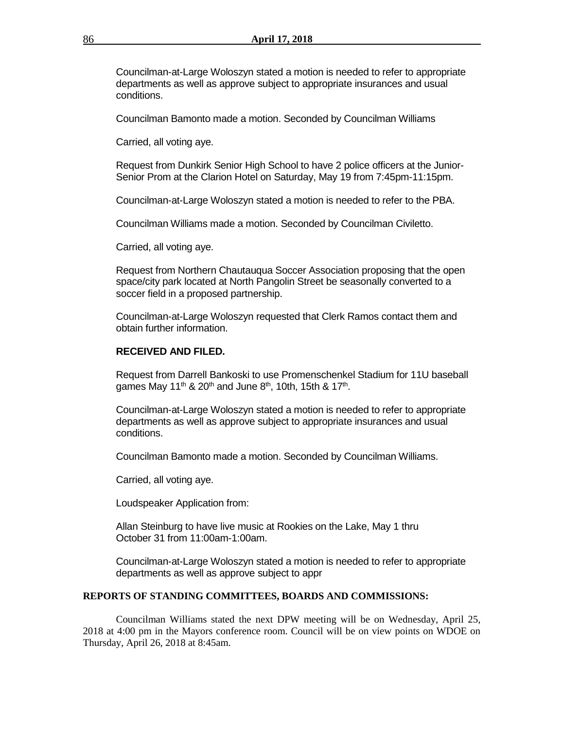Councilman-at-Large Woloszyn stated a motion is needed to refer to appropriate departments as well as approve subject to appropriate insurances and usual conditions.

Councilman Bamonto made a motion. Seconded by Councilman Williams

Carried, all voting aye.

Request from Dunkirk Senior High School to have 2 police officers at the Junior-Senior Prom at the Clarion Hotel on Saturday, May 19 from 7:45pm-11:15pm.

Councilman-at-Large Woloszyn stated a motion is needed to refer to the PBA.

Councilman Williams made a motion. Seconded by Councilman Civiletto.

Carried, all voting aye.

Request from Northern Chautauqua Soccer Association proposing that the open space/city park located at North Pangolin Street be seasonally converted to a soccer field in a proposed partnership.

Councilman-at-Large Woloszyn requested that Clerk Ramos contact them and obtain further information.

# **RECEIVED AND FILED.**

Request from Darrell Bankoski to use Promenschenkel Stadium for 11U baseball games May 11<sup>th</sup> & 20<sup>th</sup> and June 8<sup>th</sup>, 10th, 15th & 17<sup>th</sup>.

Councilman-at-Large Woloszyn stated a motion is needed to refer to appropriate departments as well as approve subject to appropriate insurances and usual conditions.

Councilman Bamonto made a motion. Seconded by Councilman Williams.

Carried, all voting aye.

Loudspeaker Application from:

Allan Steinburg to have live music at Rookies on the Lake, May 1 thru October 31 from 11:00am-1:00am.

Councilman-at-Large Woloszyn stated a motion is needed to refer to appropriate departments as well as approve subject to appr

#### **REPORTS OF STANDING COMMITTEES, BOARDS AND COMMISSIONS:**

Councilman Williams stated the next DPW meeting will be on Wednesday, April 25, 2018 at 4:00 pm in the Mayors conference room. Council will be on view points on WDOE on Thursday, April 26, 2018 at 8:45am.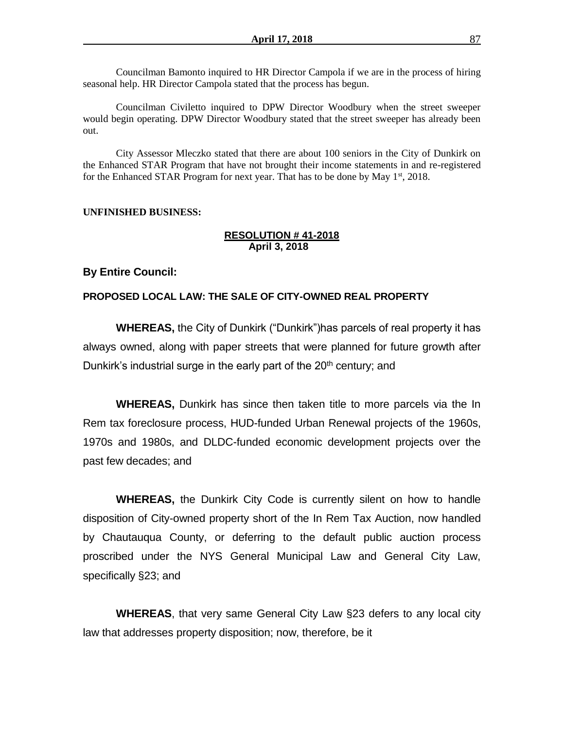Councilman Bamonto inquired to HR Director Campola if we are in the process of hiring seasonal help. HR Director Campola stated that the process has begun.

Councilman Civiletto inquired to DPW Director Woodbury when the street sweeper would begin operating. DPW Director Woodbury stated that the street sweeper has already been out.

City Assessor Mleczko stated that there are about 100 seniors in the City of Dunkirk on the Enhanced STAR Program that have not brought their income statements in and re-registered for the Enhanced STAR Program for next year. That has to be done by May  $1<sup>st</sup>$ , 2018.

## **UNFINISHED BUSINESS:**

# **RESOLUTION # 41-2018 April 3, 2018**

### **By Entire Council:**

## **PROPOSED LOCAL LAW: THE SALE OF CITY-OWNED REAL PROPERTY**

**WHEREAS,** the City of Dunkirk ("Dunkirk")has parcels of real property it has always owned, along with paper streets that were planned for future growth after Dunkirk's industrial surge in the early part of the 20<sup>th</sup> century; and

**WHEREAS,** Dunkirk has since then taken title to more parcels via the In Rem tax foreclosure process, HUD-funded Urban Renewal projects of the 1960s, 1970s and 1980s, and DLDC-funded economic development projects over the past few decades; and

**WHEREAS,** the Dunkirk City Code is currently silent on how to handle disposition of City-owned property short of the In Rem Tax Auction, now handled by Chautauqua County, or deferring to the default public auction process proscribed under the NYS General Municipal Law and General City Law, specifically §23; and

**WHEREAS**, that very same General City Law §23 defers to any local city law that addresses property disposition; now, therefore, be it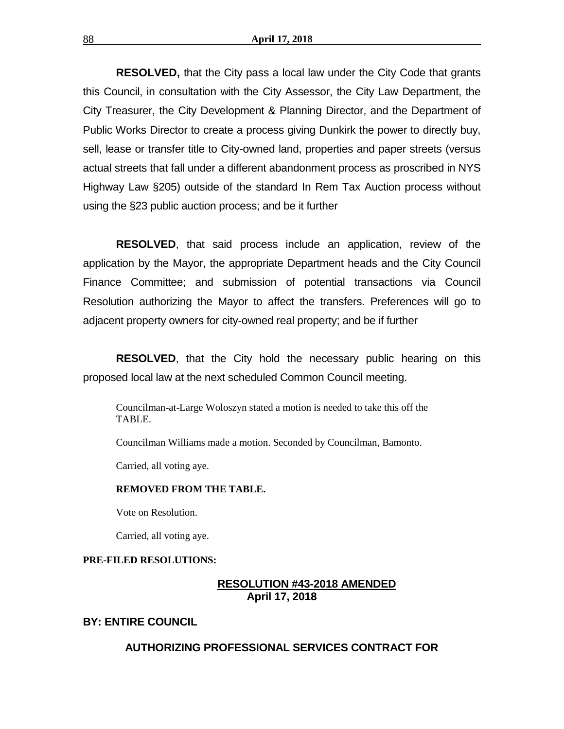**RESOLVED,** that the City pass a local law under the City Code that grants this Council, in consultation with the City Assessor, the City Law Department, the City Treasurer, the City Development & Planning Director, and the Department of Public Works Director to create a process giving Dunkirk the power to directly buy, sell, lease or transfer title to City-owned land, properties and paper streets (versus actual streets that fall under a different abandonment process as proscribed in NYS Highway Law §205) outside of the standard In Rem Tax Auction process without using the §23 public auction process; and be it further

**RESOLVED**, that said process include an application, review of the application by the Mayor, the appropriate Department heads and the City Council Finance Committee; and submission of potential transactions via Council Resolution authorizing the Mayor to affect the transfers. Preferences will go to adjacent property owners for city-owned real property; and be if further

**RESOLVED**, that the City hold the necessary public hearing on this proposed local law at the next scheduled Common Council meeting.

Councilman-at-Large Woloszyn stated a motion is needed to take this off the TABLE.

Councilman Williams made a motion. Seconded by Councilman, Bamonto.

Carried, all voting aye.

#### **REMOVED FROM THE TABLE.**

Vote on Resolution.

Carried, all voting aye.

#### **PRE-FILED RESOLUTIONS:**

# **RESOLUTION #43-2018 AMENDED April 17, 2018**

# **BY: ENTIRE COUNCIL**

# **AUTHORIZING PROFESSIONAL SERVICES CONTRACT FOR**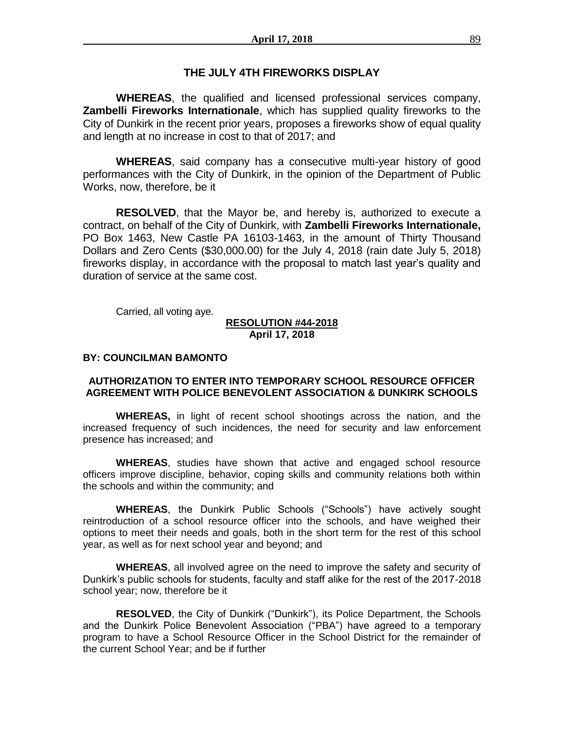# **THE JULY 4TH FIREWORKS DISPLAY**

**WHEREAS**, the qualified and licensed professional services company, **Zambelli Fireworks Internationale**, which has supplied quality fireworks to the City of Dunkirk in the recent prior years, proposes a fireworks show of equal quality and length at no increase in cost to that of 2017; and

**WHEREAS**, said company has a consecutive multi-year history of good performances with the City of Dunkirk, in the opinion of the Department of Public Works, now, therefore, be it

**RESOLVED**, that the Mayor be, and hereby is, authorized to execute a contract, on behalf of the City of Dunkirk, with **Zambelli Fireworks Internationale,**  PO Box 1463, New Castle PA 16103-1463, in the amount of Thirty Thousand Dollars and Zero Cents (\$30,000.00) for the July 4, 2018 (rain date July 5, 2018) fireworks display, in accordance with the proposal to match last year's quality and duration of service at the same cost.

Carried, all voting aye.

## **RESOLUTION #44-2018 April 17, 2018**

# **BY: COUNCILMAN BAMONTO**

# **AUTHORIZATION TO ENTER INTO TEMPORARY SCHOOL RESOURCE OFFICER AGREEMENT WITH POLICE BENEVOLENT ASSOCIATION & DUNKIRK SCHOOLS**

**WHEREAS,** in light of recent school shootings across the nation, and the increased frequency of such incidences, the need for security and law enforcement presence has increased; and

**WHEREAS**, studies have shown that active and engaged school resource officers improve discipline, behavior, coping skills and community relations both within the schools and within the community; and

**WHEREAS**, the Dunkirk Public Schools ("Schools") have actively sought reintroduction of a school resource officer into the schools, and have weighed their options to meet their needs and goals, both in the short term for the rest of this school year, as well as for next school year and beyond; and

**WHEREAS**, all involved agree on the need to improve the safety and security of Dunkirk's public schools for students, faculty and staff alike for the rest of the 2017-2018 school year; now, therefore be it

**RESOLVED**, the City of Dunkirk ("Dunkirk"), its Police Department, the Schools and the Dunkirk Police Benevolent Association ("PBA") have agreed to a temporary program to have a School Resource Officer in the School District for the remainder of the current School Year; and be if further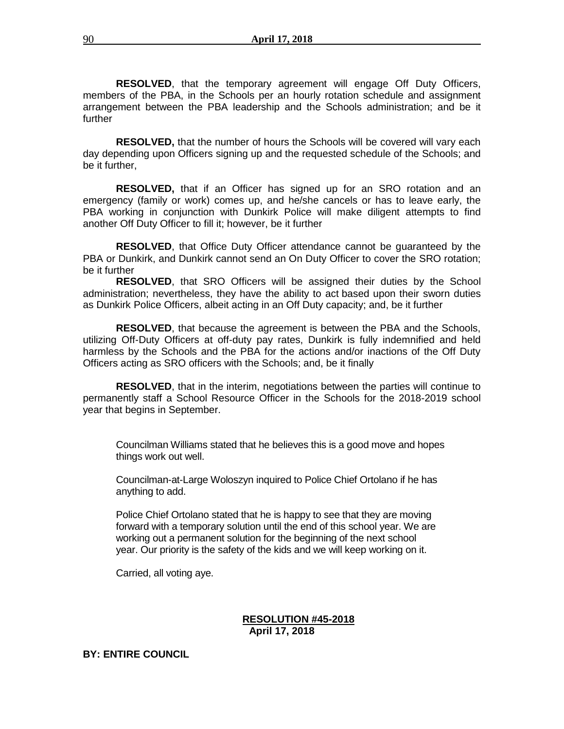**RESOLVED**, that the temporary agreement will engage Off Duty Officers, members of the PBA, in the Schools per an hourly rotation schedule and assignment arrangement between the PBA leadership and the Schools administration; and be it further

**RESOLVED,** that the number of hours the Schools will be covered will vary each day depending upon Officers signing up and the requested schedule of the Schools; and be it further,

**RESOLVED,** that if an Officer has signed up for an SRO rotation and an emergency (family or work) comes up, and he/she cancels or has to leave early, the PBA working in conjunction with Dunkirk Police will make diligent attempts to find another Off Duty Officer to fill it; however, be it further

**RESOLVED**, that Office Duty Officer attendance cannot be guaranteed by the PBA or Dunkirk, and Dunkirk cannot send an On Duty Officer to cover the SRO rotation; be it further

**RESOLVED**, that SRO Officers will be assigned their duties by the School administration; nevertheless, they have the ability to act based upon their sworn duties as Dunkirk Police Officers, albeit acting in an Off Duty capacity; and, be it further

**RESOLVED**, that because the agreement is between the PBA and the Schools, utilizing Off-Duty Officers at off-duty pay rates, Dunkirk is fully indemnified and held harmless by the Schools and the PBA for the actions and/or inactions of the Off Duty Officers acting as SRO officers with the Schools; and, be it finally

**RESOLVED**, that in the interim, negotiations between the parties will continue to permanently staff a School Resource Officer in the Schools for the 2018-2019 school year that begins in September.

Councilman Williams stated that he believes this is a good move and hopes things work out well.

Councilman-at-Large Woloszyn inquired to Police Chief Ortolano if he has anything to add.

Police Chief Ortolano stated that he is happy to see that they are moving forward with a temporary solution until the end of this school year. We are working out a permanent solution for the beginning of the next school year. Our priority is the safety of the kids and we will keep working on it.

Carried, all voting aye.

# **RESOLUTION #45-2018 April 17, 2018**

# **BY: ENTIRE COUNCIL**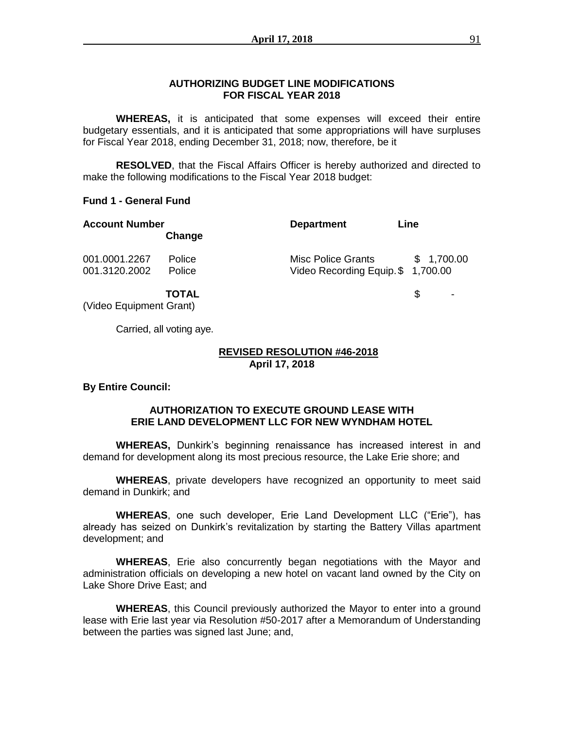# **AUTHORIZING BUDGET LINE MODIFICATIONS FOR FISCAL YEAR 2018**

**WHEREAS,** it is anticipated that some expenses will exceed their entire budgetary essentials, and it is anticipated that some appropriations will have surpluses for Fiscal Year 2018, ending December 31, 2018; now, therefore, be it

**RESOLVED**, that the Fiscal Affairs Officer is hereby authorized and directed to make the following modifications to the Fiscal Year 2018 budget:

# **Fund 1 - General Fund**

| <b>Account Number</b><br>Change |                         | <b>Department</b>                                        | Line       |  |
|---------------------------------|-------------------------|----------------------------------------------------------|------------|--|
| 001.0001.2267<br>001.3120.2002  | <b>Police</b><br>Police | Misc Police Grants<br>Video Recording Equip. \$ 1,700.00 | \$1,700.00 |  |
|                                 | <b>TOTAL</b>            |                                                          |            |  |

(Video Equipment Grant)

Carried, all voting aye.

## **REVISED RESOLUTION #46-2018 April 17, 2018**

**By Entire Council:**

# **AUTHORIZATION TO EXECUTE GROUND LEASE WITH ERIE LAND DEVELOPMENT LLC FOR NEW WYNDHAM HOTEL**

**WHEREAS,** Dunkirk's beginning renaissance has increased interest in and demand for development along its most precious resource, the Lake Erie shore; and

**WHEREAS**, private developers have recognized an opportunity to meet said demand in Dunkirk; and

**WHEREAS**, one such developer, Erie Land Development LLC ("Erie"), has already has seized on Dunkirk's revitalization by starting the Battery Villas apartment development; and

**WHEREAS**, Erie also concurrently began negotiations with the Mayor and administration officials on developing a new hotel on vacant land owned by the City on Lake Shore Drive East; and

**WHEREAS**, this Council previously authorized the Mayor to enter into a ground lease with Erie last year via Resolution #50-2017 after a Memorandum of Understanding between the parties was signed last June; and,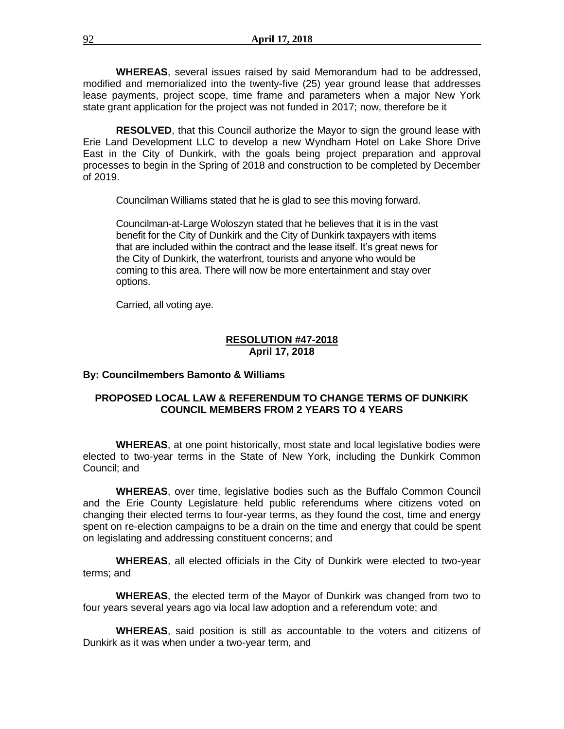**WHEREAS**, several issues raised by said Memorandum had to be addressed, modified and memorialized into the twenty-five (25) year ground lease that addresses lease payments, project scope, time frame and parameters when a major New York state grant application for the project was not funded in 2017; now, therefore be it

**RESOLVED**, that this Council authorize the Mayor to sign the ground lease with Erie Land Development LLC to develop a new Wyndham Hotel on Lake Shore Drive East in the City of Dunkirk, with the goals being project preparation and approval processes to begin in the Spring of 2018 and construction to be completed by December of 2019.

Councilman Williams stated that he is glad to see this moving forward.

Councilman-at-Large Woloszyn stated that he believes that it is in the vast benefit for the City of Dunkirk and the City of Dunkirk taxpayers with items that are included within the contract and the lease itself. It's great news for the City of Dunkirk, the waterfront, tourists and anyone who would be coming to this area. There will now be more entertainment and stay over options.

Carried, all voting aye.

# **RESOLUTION #47-2018 April 17, 2018**

### **By: Councilmembers Bamonto & Williams**

# **PROPOSED LOCAL LAW & REFERENDUM TO CHANGE TERMS OF DUNKIRK COUNCIL MEMBERS FROM 2 YEARS TO 4 YEARS**

**WHEREAS**, at one point historically, most state and local legislative bodies were elected to two-year terms in the State of New York, including the Dunkirk Common Council; and

**WHEREAS**, over time, legislative bodies such as the Buffalo Common Council and the Erie County Legislature held public referendums where citizens voted on changing their elected terms to four-year terms, as they found the cost, time and energy spent on re-election campaigns to be a drain on the time and energy that could be spent on legislating and addressing constituent concerns; and

**WHEREAS**, all elected officials in the City of Dunkirk were elected to two-year terms; and

**WHEREAS**, the elected term of the Mayor of Dunkirk was changed from two to four years several years ago via local law adoption and a referendum vote; and

**WHEREAS**, said position is still as accountable to the voters and citizens of Dunkirk as it was when under a two-year term, and